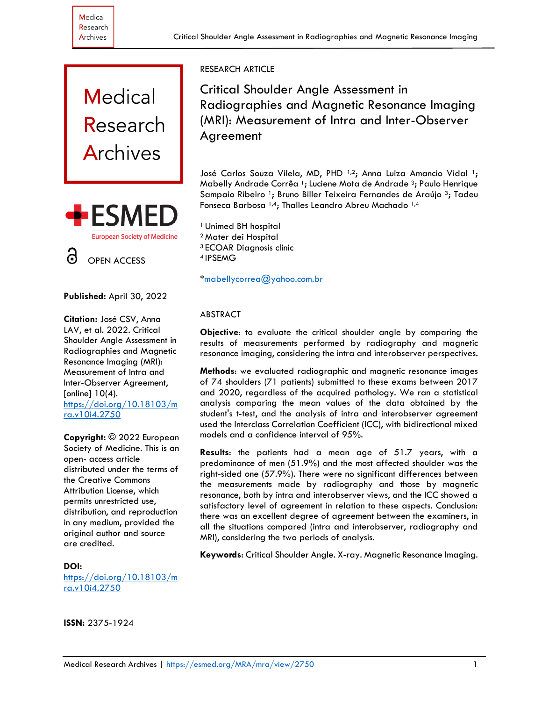



#### **Published:** April 30, 2022

**Citation:** José CSV, Anna LAV, et al. 2022. Critical Shoulder Angle Assessment in Radiographies and Magnetic Resonance Imaging (MRI): Measurement of Intra and Inter-Observer Agreement, [online] 10(4). [https://doi.org/10.18103/m](https://doi.org/10.18103/mra.v10i4.2750) [ra.v10i4.2750](https://doi.org/10.18103/mra.v10i4.2750)

**Copyright:** © 2022 European Society of Medicine. This is an open- access article distributed under the terms of the Creative Commons Attribution License, which permits unrestricted use, distribution, and reproduction in any medium, provided the original author and source are credited.

**DOI:** [https://doi.org/10.18103/m](https://doi.org/10.18103/mra.v10i4.2750) [ra.v10i4.2750](https://doi.org/10.18103/mra.v10i4.2750)

# RESEARCH ARTICLE

Critical Shoulder Angle Assessment in Radiographies and Magnetic Resonance Imaging (MRI): Measurement of Intra and Inter-Observer Agreement

José Carlos Souza Vilela, MD, PHD<sup>1,2</sup>; Anna Luiza Amancio Vidal<sup>1</sup>; Mabelly Andrade Corrêa<sup>1</sup>; Luciene Mota de Andrade<sup>3</sup>; Paulo Henrique Sampaio Ribeiro<sup>1</sup>; Bruno Biller Teixeira Fernandes de Araújo<sup>3</sup>; Tadeu Fonseca Barbosa 1,4; Thalles Leandro Abreu Machado 1,4

<sup>1</sup> Unimed BH hospital <sup>2</sup> Mater dei Hospital <sup>3</sup>ECOAR Diagnosis clinic <sup>4</sup>IPSEMG

[\\*mabellycorrea@yahoo.com.br](mailto:mabellycorrea@yahoo.com.br)

## ABSTRACT

**Objective**: to evaluate the critical shoulder angle by comparing the results of measurements performed by radiography and magnetic resonance imaging, considering the intra and interobserver perspectives.

**Methods**: we evaluated radiographic and magnetic resonance images of 74 shoulders (71 patients) submitted to these exams between 2017 and 2020, regardless of the acquired pathology. We ran a statistical analysis comparing the mean values of the data obtained by the student's t-test, and the analysis of intra and interobserver agreement used the Interclass Correlation Coefficient (ICC), with bidirectional mixed models and a confidence interval of 95%.

**Results**: the patients had a mean age of 51.7 years, with a predominance of men (51.9%) and the most affected shoulder was the right-sided one (57.9%). There were no significant differences between the measurements made by radiography and those by magnetic resonance, both by intra and interobserver views, and the ICC showed a satisfactory level of agreement in relation to these aspects. Conclusion: there was an excellent degree of agreement between the examiners, in all the situations compared (intra and interobserver, radiography and MRI), considering the two periods of analysis.

**Keywords**: Critical Shoulder Angle. X-ray. Magnetic Resonance Imaging.

**ISSN:** 2375-1924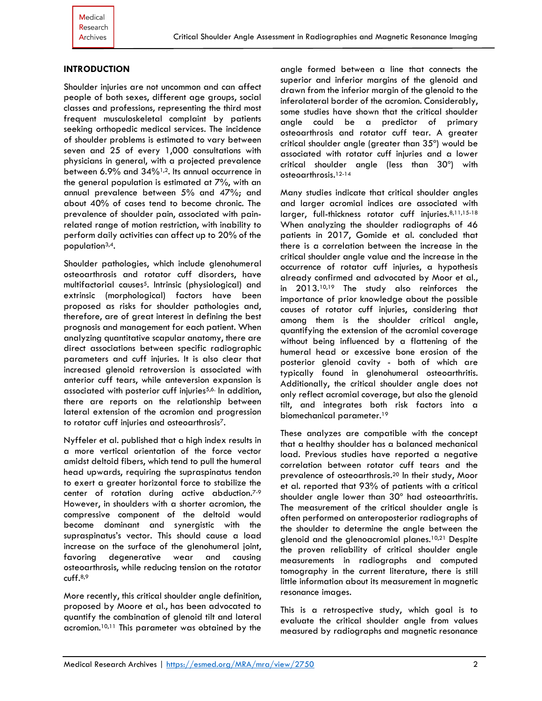## **INTRODUCTION**

Shoulder injuries are not uncommon and can affect people of both sexes, different age groups, social classes and professions, representing the third most frequent musculoskeletal complaint by patients seeking orthopedic medical services. The incidence of shoulder problems is estimated to vary between seven and 25 of every 1,000 consultations with physicians in general, with a projected prevalence between 6.9% and 34%1,2. Its annual occurrence in the general population is estimated at 7%, with an annual prevalence between 5% and 47%; and about 40% of cases tend to become chronic. The prevalence of shoulder pain, associated with painrelated range of motion restriction, with inability to perform daily activities can affect up to 20% of the population3,4.

Shoulder pathologies, which include glenohumeral osteoarthrosis and rotator cuff disorders, have multifactorial causes<sup>5</sup>. Intrinsic (physiological) and extrinsic (morphological) factors have been proposed as risks for shoulder pathologies and, therefore, are of great interest in defining the best prognosis and management for each patient. When analyzing quantitative scapular anatomy, there are direct associations between specific radiographic parameters and cuff injuries. It is also clear that increased glenoid retroversion is associated with anterior cuff tears, while anteversion expansion is associated with posterior cuff injuries<sup>5,6.</sup> In addition, there are reports on the relationship between lateral extension of the acromion and progression to rotator cuff injuries and osteoarthrosis7.

Nyffeler et al. published that a high index results in a more vertical orientation of the force vector amidst deltoid fibers, which tend to pull the humeral head upwards, requiring the supraspinatus tendon to exert a greater horizontal force to stabilize the center of rotation during active abduction. 7-9 However, in shoulders with a shorter acromion, the compressive component of the deltoid would become dominant and synergistic with the supraspinatus's vector. This should cause a load increase on the surface of the glenohumeral joint, favoring degenerative wear and causing osteoarthrosis, while reducing tension on the rotator cuff. 8,9

More recently, this critical shoulder angle definition, proposed by Moore et al., has been advocated to quantify the combination of glenoid tilt and lateral acromion.10,11 This parameter was obtained by the

angle formed between a line that connects the superior and inferior margins of the glenoid and drawn from the inferior margin of the glenoid to the inferolateral border of the acromion. Considerably, some studies have shown that the critical shoulder angle could be a predictor of primary osteoarthrosis and rotator cuff tear. A greater critical shoulder angle (greater than 35º) would be associated with rotator cuff injuries and a lower critical shoulder angle (less than 30º) with osteoarthrosis. 12-14

Many studies indicate that critical shoulder angles and larger acromial indices are associated with larger, full-thickness rotator cuff injuries. 8,11,15-18 When analyzing the shoulder radiographs of 46 patients in 2017, Gomide et al. concluded that there is a correlation between the increase in the critical shoulder angle value and the increase in the occurrence of rotator cuff injuries, a hypothesis already confirmed and advocated by Moor et al., in 2013.<sup>10,19</sup> The study also reinforces the importance of prior knowledge about the possible causes of rotator cuff injuries, considering that among them is the shoulder critical angle, quantifying the extension of the acromial coverage without being influenced by a flattening of the humeral head or excessive bone erosion of the posterior glenoid cavity - both of which are typically found in glenohumeral osteoarthritis. Additionally, the critical shoulder angle does not only reflect acromial coverage, but also the glenoid tilt, and integrates both risk factors into a biomechanical parameter. 19

These analyzes are compatible with the concept that a healthy shoulder has a balanced mechanical load. Previous studies have reported a negative correlation between rotator cuff tears and the prevalence of osteoarthrosis.<sup>20</sup> In their study, Moor et al. reported that 93% of patients with a critical shoulder angle lower than 30º had osteoarthritis. The measurement of the critical shoulder angle is often performed on anteroposterior radiographs of the shoulder to determine the angle between the glenoid and the glenoacromial planes.10,21 Despite the proven reliability of critical shoulder angle measurements in radiographs and computed tomography in the current literature, there is still little information about its measurement in magnetic resonance images.

This is a retrospective study, which goal is to evaluate the critical shoulder angle from values measured by radiographs and magnetic resonance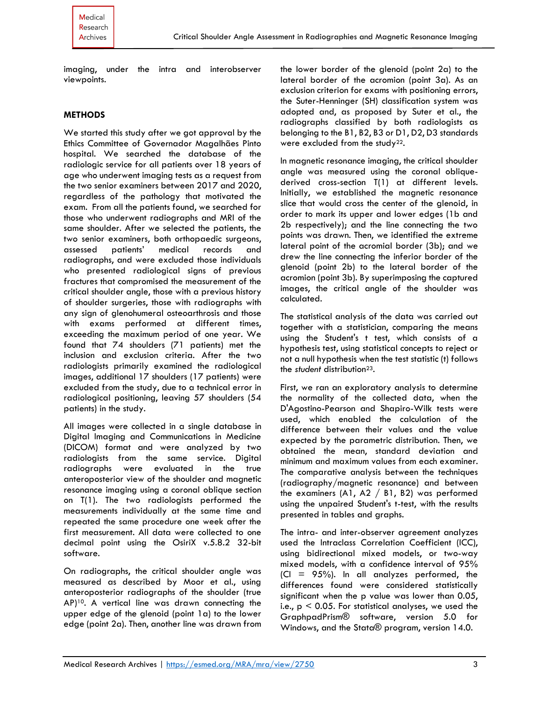imaging, under the intra and interobserver viewpoints.

#### **METHODS**

We started this study after we got approval by the Ethics Committee of Governador Magalhães Pinto hospital. We searched the database of the radiologic service for all patients over 18 years of age who underwent imaging tests as a request from the two senior examiners between 2017 and 2020, regardless of the pathology that motivated the exam. From all the patients found, we searched for those who underwent radiographs and MRI of the same shoulder. After we selected the patients, the two senior examiners, both orthopaedic surgeons, assessed patients' medical records and radiographs, and were excluded those individuals who presented radiological signs of previous fractures that compromised the measurement of the critical shoulder angle, those with a previous history of shoulder surgeries, those with radiographs with any sign of glenohumeral osteoarthrosis and those with exams performed at different times, exceeding the maximum period of one year. We found that 74 shoulders (71 patients) met the inclusion and exclusion criteria. After the two radiologists primarily examined the radiological images, additional 17 shoulders (17 patients) were excluded from the study, due to a technical error in radiological positioning, leaving 57 shoulders (54 patients) in the study.

All images were collected in a single database in Digital Imaging and Communications in Medicine (DICOM) format and were analyzed by two radiologists from the same service. Digital radiographs were evaluated in the true anteroposterior view of the shoulder and magnetic resonance imaging using a coronal oblique section on T(1). The two radiologists performed the measurements individually at the same time and repeated the same procedure one week after the first measurement. All data were collected to one decimal point using the OsiriX v.5.8.2 32-bit software.

On radiographs, the critical shoulder angle was measured as described by Moor et al., using anteroposterior radiographs of the shoulder (true AP)10. A vertical line was drawn connecting the upper edge of the glenoid (point 1a) to the lower edge (point 2a). Then, another line was drawn from the lower border of the glenoid (point 2a) to the lateral border of the acromion (point 3a). As an exclusion criterion for exams with positioning errors, the Suter-Henninger (SH) classification system was adopted and, as proposed by Suter et al., the radiographs classified by both radiologists as belonging to the B1, B2, B3 or D1, D2, D3 standards were excluded from the study<sup>22</sup>.

In magnetic resonance imaging, the critical shoulder angle was measured using the coronal obliquederived cross-section T(1) at different levels. Initially, we established the magnetic resonance slice that would cross the center of the glenoid, in order to mark its upper and lower edges (1b and 2b respectively); and the line connecting the two points was drawn. Then, we identified the extreme lateral point of the acromial border (3b); and we drew the line connecting the inferior border of the glenoid (point 2b) to the lateral border of the acromion (point 3b). By superimposing the captured images, the critical angle of the shoulder was calculated.

The statistical analysis of the data was carried out together with a statistician, comparing the means using the Student's t test, which consists of a hypothesis test, using statistical concepts to reject or not a null hypothesis when the test statistic (t) follows the *student* distribution<sup>23</sup>.

First, we ran an exploratory analysis to determine the normality of the collected data, when the D'Agostino-Pearson and Shapiro-Wilk tests were used, which enabled the calculation of the difference between their values and the value expected by the parametric distribution. Then, we obtained the mean, standard deviation and minimum and maximum values from each examiner. The comparative analysis between the techniques (radiography/magnetic resonance) and between the examiners (A1, A2 / B1, B2) was performed using the unpaired Student's t-test, with the results presented in tables and graphs.

The intra- and inter-observer agreement analyzes used the Intraclass Correlation Coefficient (ICC), using bidirectional mixed models, or two-way mixed models, with a confidence interval of 95%  $|CI = 95\%|$ . In all analyzes performed, the differences found were considered statistically significant when the p value was lower than 0.05, i.e.,  $p < 0.05$ . For statistical analyses, we used the GraphpadPrism® software, version 5.0 for Windows, and the Stata® program, version 14.0.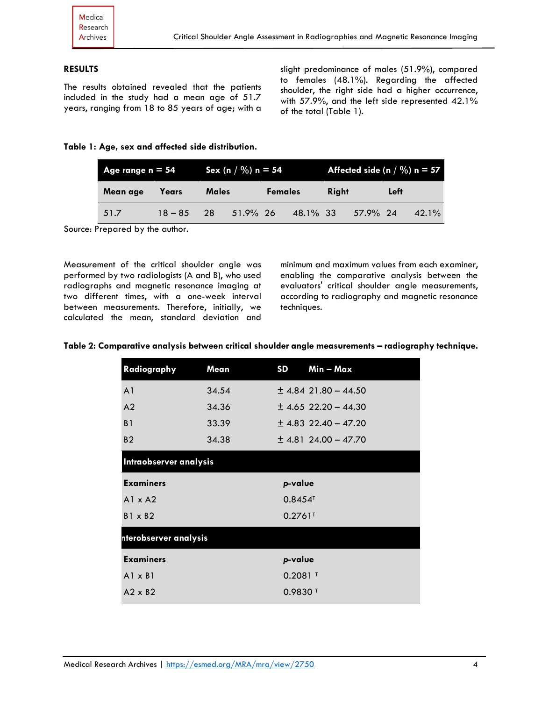# **RESULTS**

The results obtained revealed that the patients included in the study had a mean age of 51.7 years, ranging from 18 to 85 years of age; with a slight predominance of males (51.9%), compared to females (48.1%). Regarding the affected shoulder, the right side had a higher occurrence, with 57.9%, and the left side represented 42.1% of the total (Table 1).

#### **Table 1: Age, sex and affected side distribution.**

| Age range $n = 54$ |           |              | Sex (n / $\%$ ) n = 54 |                |          | Affected side $(n / \%)$ n = 57 |          |      |          |
|--------------------|-----------|--------------|------------------------|----------------|----------|---------------------------------|----------|------|----------|
| Mean age           | Years     | <b>Males</b> |                        | <b>Females</b> |          | <b>Riaht</b>                    |          | Left |          |
| 51.7               | $18 - 85$ | 28           | $51.9\%$ 26            |                | 48.1% 33 |                                 | 57.9% 24 |      | $42.1\%$ |

Source: Prepared by the author.

Measurement of the critical shoulder angle was performed by two radiologists (A and B), who used radiographs and magnetic resonance imaging at two different times, with a one-week interval between measurements. Therefore, initially, we calculated the mean, standard deviation and

minimum and maximum values from each examiner, enabling the comparative analysis between the evaluators' critical shoulder angle measurements, according to radiography and magnetic resonance techniques.

|  |  | Table 2: Comparative analysis between critical shoulder angle measurements - radiography technique. |
|--|--|-----------------------------------------------------------------------------------------------------|
|  |  |                                                                                                     |

| Radiography            | Mean  | <b>SD</b>             | Min - Max                |
|------------------------|-------|-----------------------|--------------------------|
| A <sub>1</sub>         | 34.54 |                       | $\pm$ 4.84 21.80 - 44.50 |
| A <sub>2</sub>         | 34.36 |                       | $\pm$ 4.65 22.20 - 44.30 |
| B <sub>1</sub>         | 33.39 |                       | $\pm$ 4.83 22.40 – 47.20 |
| <b>B2</b>              | 34.38 |                       | $\pm$ 4.81 24.00 - 47.70 |
| Intraobserver analysis |       |                       |                          |
| <b>Examiners</b>       |       | p-value               |                          |
| $A1 \times A2$         |       | $0.8454$ <sup>T</sup> |                          |
| $B1 \times B2$         |       | $0.2761$ <sup>T</sup> |                          |
| nterobserver analysis  |       |                       |                          |
| <b>Examiners</b>       |       | p-value               |                          |
| $AI \times BI$         |       | $0.2081$ <sup>T</sup> |                          |
|                        |       |                       |                          |
| $A2 \times B2$         |       | $0.9830$ <sup>T</sup> |                          |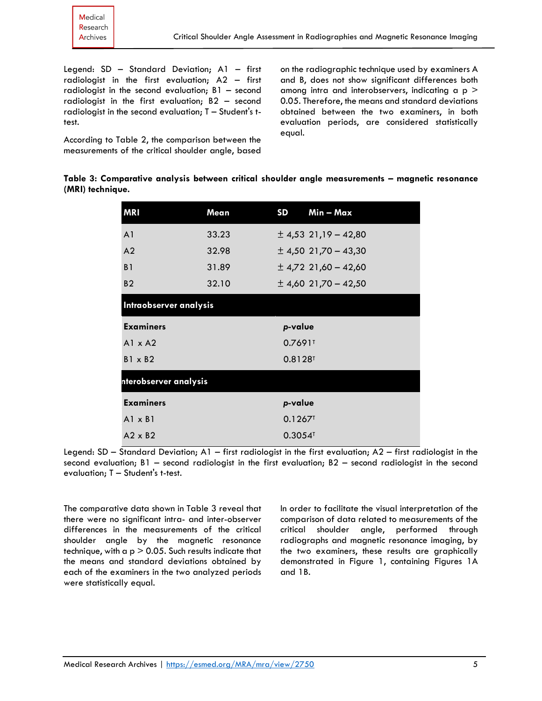Legend: SD – Standard Deviation; A1 – first radiologist in the first evaluation; A2 – first radiologist in the second evaluation; B1 – second radiologist in the first evaluation; B2 – second radiologist in the second evaluation; T – Student's ttest.

According to Table 2, the comparison between the measurements of the critical shoulder angle, based on the radiographic technique used by examiners A and B, does not show significant differences both among intra and interobservers, indicating a  $p >$ 0.05. Therefore, the means and standard deviations obtained between the two examiners, in both evaluation periods, are considered statistically equal.

|  |                  |  |  | Table 3: Comparative analysis between critical shoulder angle measurements - magnetic resonance |  |
|--|------------------|--|--|-------------------------------------------------------------------------------------------------|--|
|  | (MRI) technique. |  |  |                                                                                                 |  |

| <b>MRI</b>             | Mean  | <b>SD</b>             | Min - Max                |
|------------------------|-------|-----------------------|--------------------------|
| A <sub>1</sub>         | 33.23 |                       | $\pm$ 4,53 21,19 - 42,80 |
| A <sub>2</sub>         | 32.98 |                       | $\pm$ 4,50 21,70 – 43,30 |
| B <sub>1</sub>         | 31.89 |                       | $\pm$ 4,72 21,60 - 42,60 |
| B <sub>2</sub>         | 32.10 |                       | $\pm$ 4,60 21,70 – 42,50 |
| Intraobserver analysis |       |                       |                          |
| <b>Examiners</b>       |       | p-value               |                          |
| $AI \times A2$         |       | 0.7691                |                          |
| $B1 \times B2$         |       | $0.8128$ <sup>T</sup> |                          |
| nterobserver analysis  |       |                       |                          |
| <b>Examiners</b>       |       | p-value               |                          |
| $AI \times BI$         |       | $0.1267$ <sup>T</sup> |                          |
| $A2 \times B2$         |       | $0.3054$ <sup>T</sup> |                          |

Legend: SD – Standard Deviation; A1 – first radiologist in the first evaluation; A2 – first radiologist in the second evaluation; B1 – second radiologist in the first evaluation; B2 – second radiologist in the second evaluation; T – Student's t-test.

The comparative data shown in Table 3 reveal that there were no significant intra- and inter-observer differences in the measurements of the critical shoulder angle by the magnetic resonance technique, with a  $p > 0.05$ . Such results indicate that the means and standard deviations obtained by each of the examiners in the two analyzed periods were statistically equal.

In order to facilitate the visual interpretation of the comparison of data related to measurements of the critical shoulder angle, performed through radiographs and magnetic resonance imaging, by the two examiners, these results are graphically demonstrated in Figure 1, containing Figures 1A and 1B.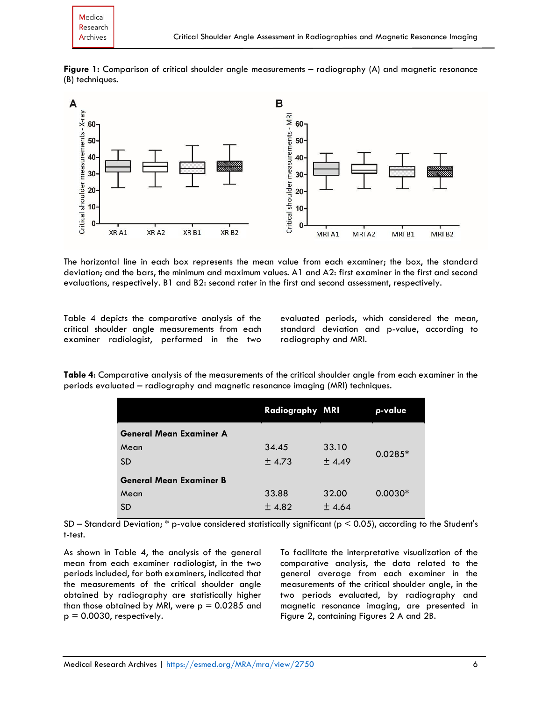



The horizontal line in each box represents the mean value from each examiner; the box, the standard deviation; and the bars, the minimum and maximum values. A1 and A2: first examiner in the first and second evaluations, respectively. B1 and B2: second rater in the first and second assessment, respectively.

Table 4 depicts the comparative analysis of the critical shoulder angle measurements from each examiner radiologist, performed in the two evaluated periods, which considered the mean, standard deviation and p-value, according to radiography and MRI.

**Table 4**: Comparative analysis of the measurements of the critical shoulder angle from each examiner in the periods evaluated – radiography and magnetic resonance imaging (MRI) techniques.

|                                | Radiography MRI |       | p-value   |
|--------------------------------|-----------------|-------|-----------|
| <b>General Mean Examiner A</b> |                 |       |           |
| Mean                           | 34.45           | 33.10 | $0.0285*$ |
| <b>SD</b>                      | ± 4.73          | ±4.49 |           |
| <b>General Mean Examiner B</b> |                 |       |           |
| Mean                           | 33.88           | 32.00 | $0.0030*$ |
| <b>SD</b>                      | ±4.82           | ±4.64 |           |

SD – Standard Deviation; \* p-value considered statistically significant (p < 0.05), according to the Student's t-test.

As shown in Table 4, the analysis of the general mean from each examiner radiologist, in the two periods included, for both examiners, indicated that the measurements of the critical shoulder angle obtained by radiography are statistically higher than those obtained by MRI, were  $p = 0.0285$  and  $p = 0.0030$ , respectively.

To facilitate the interpretative visualization of the comparative analysis, the data related to the general average from each examiner in the measurements of the critical shoulder angle, in the two periods evaluated, by radiography and magnetic resonance imaging, are presented in Figure 2, containing Figures 2 A and 2B.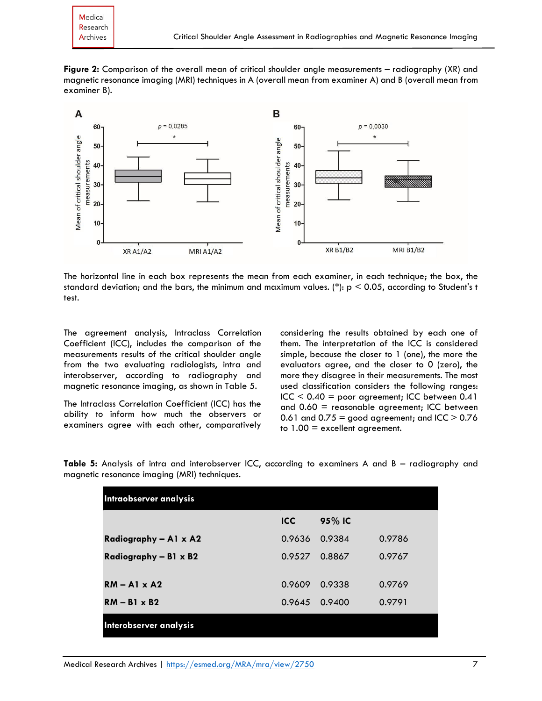**Figure 2:** Comparison of the overall mean of critical shoulder angle measurements – radiography (XR) and magnetic resonance imaging (MRI) techniques in A (overall mean from examiner A) and B (overall mean from examiner B).



The horizontal line in each box represents the mean from each examiner, in each technique; the box, the standard deviation; and the bars, the minimum and maximum values. (\*):  $p < 0.05$ , according to Student's t test.

The agreement analysis, Intraclass Correlation Coefficient (ICC), includes the comparison of the measurements results of the critical shoulder angle from the two evaluating radiologists, intra and interobserver, according to radiography and magnetic resonance imaging, as shown in Table 5.

The Intraclass Correlation Coefficient (ICC) has the ability to inform how much the observers or examiners agree with each other, comparatively considering the results obtained by each one of them. The interpretation of the ICC is considered simple, because the closer to 1 (one), the more the evaluators agree, and the closer to 0 (zero), the more they disagree in their measurements. The most used classification considers the following ranges:  $ICC < 0.40 = poor agreement; ICC between 0.41$ and  $0.60$  = reasonable agreement; ICC between 0.61 and  $0.75$  = good agreement; and ICC  $> 0.76$ to 1.00 = excellent agreement.

**Table 5:** Analysis of intra and interobserver ICC, according to examiners A and B – radiography and magnetic resonance imaging (MRI) techniques.

| Intraobserver analysis       |            |        |        |  |  |  |
|------------------------------|------------|--------|--------|--|--|--|
|                              | <b>ICC</b> | 95% IC |        |  |  |  |
| Radiography - A1 x A2        | 0.9636     | 0.9384 | 0.9786 |  |  |  |
| Radiography - B1 $\times$ B2 | 0.9527     | 0.8867 | 0.9767 |  |  |  |
|                              |            |        |        |  |  |  |
| $RM - Al \times A2$          | 0.9609     | 0.9338 | 0.9769 |  |  |  |
| $RM - B1 \times B2$          | 0.9645     | 0.9400 | 0.9791 |  |  |  |
| Interobserver analysis       |            |        |        |  |  |  |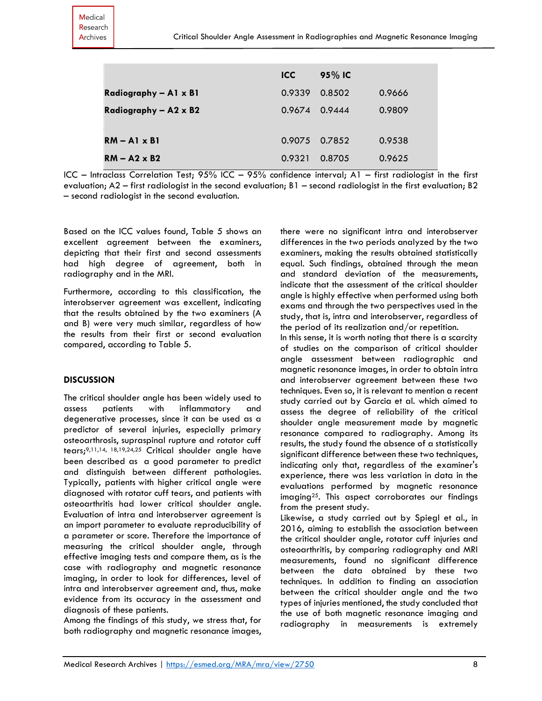|                       | ICC.   | 95% IC |        |
|-----------------------|--------|--------|--------|
| Radiography - A1 x B1 | 0.9339 | 0.8502 | 0.9666 |
| Radiography - A2 x B2 | 0.9674 | 0.9444 | 0.9809 |
|                       |        |        |        |
| $RM - A1 \times B1$   | 0.9075 | 0.7852 | 0.9538 |
| $RM - A2 \times B2$   | 0.9321 | 0.8705 | 0.9625 |

ICC – Intraclass Correlation Test; 95% ICC – 95% confidence interval; A1 – first radiologist in the first evaluation; A2 – first radiologist in the second evaluation; B1 – second radiologist in the first evaluation; B2 – second radiologist in the second evaluation.

Based on the ICC values found, Table 5 shows an excellent agreement between the examiners, depicting that their first and second assessments had high degree of agreement, both in radiography and in the MRI.

Furthermore, according to this classification, the interobserver agreement was excellent, indicating that the results obtained by the two examiners (A and B) were very much similar, regardless of how the results from their first or second evaluation compared, according to Table 5.

## **DISCUSSION**

The critical shoulder angle has been widely used to assess patients with inflammatory and degenerative processes, since it can be used as a predictor of several injuries, especially primary osteoarthrosis, supraspinal rupture and rotator cuff tears;9,11,14, 18,19,24,25 Critical shoulder angle have been described as a good parameter to predict and distinguish between different pathologies. Typically, patients with higher critical angle were diagnosed with rotator cuff tears, and patients with osteoarthritis had lower critical shoulder angle. Evaluation of intra and interobserver agreement is an import parameter to evaluate reproducibility of a parameter or score. Therefore the importance of measuring the critical shoulder angle, through effective imaging tests and compare them, as is the case with radiography and magnetic resonance imaging, in order to look for differences, level of intra and interobserver agreement and, thus, make evidence from its accuracy in the assessment and diagnosis of these patients.

Among the findings of this study, we stress that, for both radiography and magnetic resonance images, there were no significant intra and interobserver differences in the two periods analyzed by the two examiners, making the results obtained statistically equal. Such findings, obtained through the mean and standard deviation of the measurements, indicate that the assessment of the critical shoulder angle is highly effective when performed using both exams and through the two perspectives used in the study, that is, intra and interobserver, regardless of the period of its realization and/or repetition.

In this sense, it is worth noting that there is a scarcity of studies on the comparison of critical shoulder angle assessment between radiographic and magnetic resonance images, in order to obtain intra and interobserver agreement between these two techniques. Even so, it is relevant to mention a recent study carried out by Garcia et al. which aimed to assess the degree of reliability of the critical shoulder angle measurement made by magnetic resonance compared to radiography. Among its results, the study found the absence of a statistically significant difference between these two techniques, indicating only that, regardless of the examiner's experience, there was less variation in data in the evaluations performed by magnetic resonance imaging25. This aspect corroborates our findings from the present study.

Likewise, a study carried out by Spiegl et al., in 2016, aiming to establish the association between the critical shoulder angle, rotator cuff injuries and osteoarthritis, by comparing radiography and MRI measurements, found no significant difference between the data obtained by these two techniques. In addition to finding an association between the critical shoulder angle and the two types of injuries mentioned, the study concluded that the use of both magnetic resonance imaging and radiography in measurements is extremely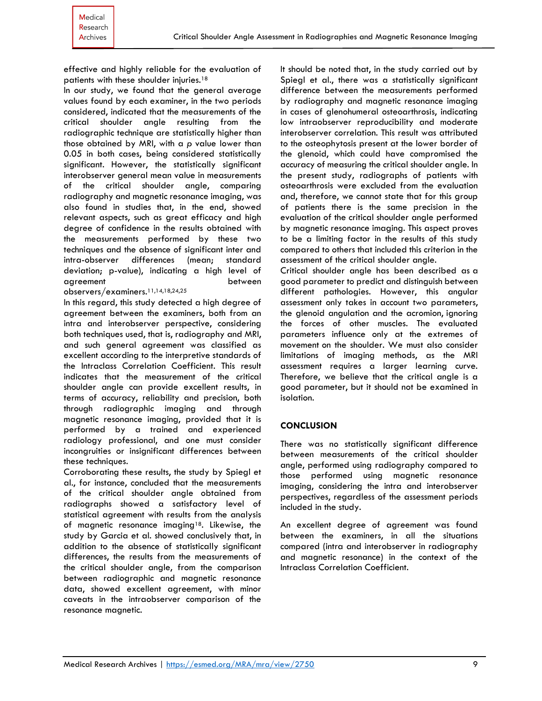effective and highly reliable for the evaluation of patients with these shoulder injuries.<sup>18</sup>

In our study, we found that the general average values found by each examiner, in the two periods considered, indicated that the measurements of the critical shoulder angle resulting from the radiographic technique are statistically higher than those obtained by MRI, with a *p* value lower than 0.05 in both cases, being considered statistically significant. However, the statistically significant interobserver general mean value in measurements of the critical shoulder angle, comparing radiography and magnetic resonance imaging, was also found in studies that, in the end, showed relevant aspects, such as great efficacy and high degree of confidence in the results obtained with the measurements performed by these two techniques and the absence of significant inter and intra-observer differences (mean; standard deviation; p-value), indicating a high level of agreement between

observers/examiners.11,14,18,24,25

In this regard, this study detected a high degree of agreement between the examiners, both from an intra and interobserver perspective, considering both techniques used, that is, radiography and MRI, and such general agreement was classified as excellent according to the interpretive standards of the Intraclass Correlation Coefficient. This result indicates that the measurement of the critical shoulder angle can provide excellent results, in terms of accuracy, reliability and precision, both through radiographic imaging and through magnetic resonance imaging, provided that it is performed by a trained and experienced radiology professional, and one must consider incongruities or insignificant differences between these techniques.

Corroborating these results, the study by Spiegl et al., for instance, concluded that the measurements of the critical shoulder angle obtained from radiographs showed a satisfactory level of statistical agreement with results from the analysis of magnetic resonance imaging<sup>18</sup>. Likewise, the study by Garcia et al. showed conclusively that, in addition to the absence of statistically significant differences, the results from the measurements of the critical shoulder angle, from the comparison between radiographic and magnetic resonance data, showed excellent agreement, with minor caveats in the intraobserver comparison of the resonance magnetic.

It should be noted that, in the study carried out by Spiegl et al., there was a statistically significant difference between the measurements performed by radiography and magnetic resonance imaging in cases of glenohumeral osteoarthrosis, indicating low intraobserver reproducibility and moderate interobserver correlation. This result was attributed to the osteophytosis present at the lower border of the glenoid, which could have compromised the accuracy of measuring the critical shoulder angle. In the present study, radiographs of patients with osteoarthrosis were excluded from the evaluation and, therefore, we cannot state that for this group of patients there is the same precision in the evaluation of the critical shoulder angle performed by magnetic resonance imaging. This aspect proves to be a limiting factor in the results of this study compared to others that included this criterion in the assessment of the critical shoulder angle.

Critical shoulder angle has been described as a good parameter to predict and distinguish between different pathologies. However, this angular assessment only takes in account two parameters, the glenoid angulation and the acromion, ignoring the forces of other muscles. The evaluated parameters influence only at the extremes of movement on the shoulder. We must also consider limitations of imaging methods, as the MRI assessment requires a larger learning curve. Therefore, we believe that the critical angle is a good parameter, but it should not be examined in isolation.

## **CONCLUSION**

There was no statistically significant difference between measurements of the critical shoulder angle, performed using radiography compared to those performed using magnetic resonance imaging, considering the intra and interobserver perspectives, regardless of the assessment periods included in the study.

An excellent degree of agreement was found between the examiners, in all the situations compared (intra and interobserver in radiography and magnetic resonance) in the context of the Intraclass Correlation Coefficient.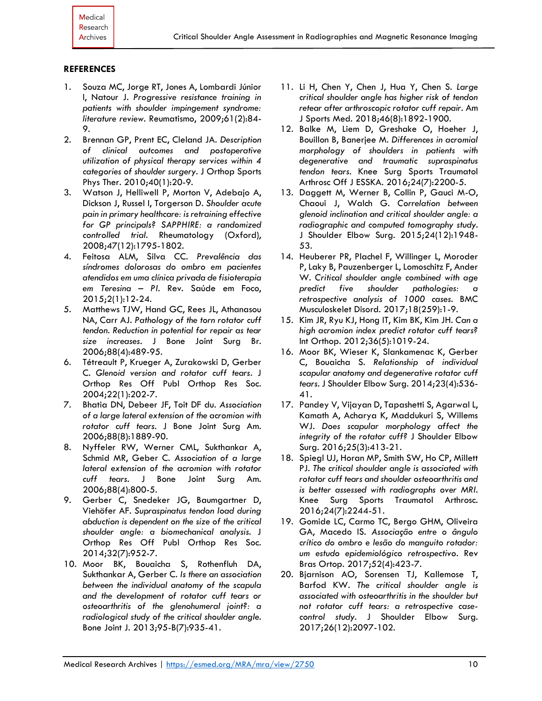#### **REFERENCES**

- 1. Souza MC, Jorge RT, Jones A, Lombardi Júnior I, Natour J. *Progressive resistance training in patients with shoulder impingement syndrome: literature review*. Reumatismo, 2009;61(2):84- 9.
- 2. Brennan GP, Prent EC, Cleland JA. *Description of clinical outcomes and postoperative utilization of physical therapy services within 4 categories of shoulder surgery*. J Orthop Sports Phys Ther. 2010;40(1):20-9.
- 3. Watson J, Helliwell P, Morton V, Adebajo A, Dickson J, Russel I, Torgerson D*. Shoulder acute pain in primary healthcare: is retraining effective for GP principals? SAPPHIRE: a randomized controlled trial*. Rheumatology (Oxford), 2008;47(12):1795-1802.
- 4. Feitosa ALM, Silva CC. *Prevalência das síndromes dolorosas do ombro em pacientes atendidos em uma clínica privada de fisioterapia em Teresina – PI*. Rev. Saúde em Foco, 2015;2(1):12-24.
- 5. Matthews TJW, Hand GC, Rees JL, Athanasou NA, Carr AJ. *Pathology of the torn rotator cuff tendon. Reduction in potential for repair as tear size increases*. J Bone Joint Surg Br. 2006;88(4):489-95.
- 6. Tétreault P, Krueger A, Zurakowski D, Gerber C. *Glenoid version and rotator cuff tears*. J Orthop Res Off Publ Orthop Res Soc. 2004;22(1):202-7.
- 7. Bhatia DN, Debeer JF, Toit DF du*. Association of a large lateral extension of the acromion with rotator cuff tears*. J Bone Joint Surg Am. 2006;88(8):1889-90.
- 8. Nyffeler RW, Werner CML, Sukthankar A, Schmid MR, Geber C. *Association of a large lateral extension of the acromion with rotator cuff tears.* J Bone Joint Surg Am. 2006;88(4):800-5.
- 9. Gerber C, Snedeker JG, Baumgartner D, Viehöfer AF. *Supraspinatus tendon load during abduction is dependent on the size of the critical shoulder angle: a biomechanical analysis.* J Orthop Res Off Publ Orthop Res Soc. 2014;32(7):952-7.
- 10. Moor BK, Bouaicha S, Rothenfluh DA, Sukthankar A, Gerber C. *Is there an association between the individual anatomy of the scapula and the development of rotator cuff tears or osteoarthritis of the glenohumeral joint?: a radiological study of the critical shoulder angle.* Bone Joint J. 2013;95-B(7):935-41.
- 11. Li H, Chen Y, Chen J, Hua Y, Chen S. *Large critical shoulder angle has higher risk of tendon retear after arthroscopic rotator cuff repair.* Am J Sports Med. 2018;46(8):1892-1900.
- 12. Balke M, Liem D, Greshake O, Hoeher J, Bouillon B, Banerjee M. *Differences in acromial morphology of shoulders in patients with degenerative and traumatic supraspinatus tendon tears*. Knee Surg Sports Traumatol Arthrosc Off J ESSKA. 2016;24(7):2200-5.
- 13. Daggett M, Werner B, Collin P, Gauci M-O, Chaoui J, Walch G. *Correlation between glenoid inclination and critical shoulder angle: a radiographic and computed tomography study*. J Shoulder Elbow Surg. 2015;24(12):1948- 53.
- 14. Heuberer PR, Plachel F, Willinger L, Moroder P, Laky B, Pauzenberger L, Lomoschitz F, Ander W. *Critical shoulder angle combined with age predict five shoulder pathologies: a retrospective analysis of 1000 cases.* BMC Musculoskelet Disord. 2017;18(259):1-9.
- 15. Kim JR, Ryu KJ, Hong IT, Kim BK, Kim JH. *Can a high acromion index predict rotator cuff tears?* Int Orthop. 2012;36(5):1019-24.
- 16. Moor BK, Wieser K, Slankamenac K, Gerber C, Bouaicha S. *Relationship of individual scapular anatomy and degenerative rotator cuff tears.* J Shoulder Elbow Surg. 2014;23(4):536- 41.
- 17. Pandey V, Vijayan D, Tapashetti S, Agarwal L, Kamath A, Acharya K, Maddukuri S, Willems WJ. *Does scapular morphology affect the integrity of the rotator cuff?* J Shoulder Elbow Surg. 2016;25(3):413-21.
- 18. Spiegl UJ, Horan MP, Smith SW, Ho CP, Millett PJ. *The critical shoulder angle is associated with rotator cuff tears and shoulder osteoarthritis and is better assessed with radiographs over MRI.* Knee Surg Sports Traumatol Arthrosc. 2016;24(7):2244-51.
- 19. Gomide LC, Carmo TC, Bergo GHM, Oliveira GA, Macedo IS. *Associação entre o ângulo crítico do ombro e lesão do manguito rotador: um estudo epidemiológico retrospectivo*. Rev Bras Ortop. 2017;52(4):423-7.
- 20. Bjarnison AO, Sorensen TJ, Kallemose T, Barfod KW. *The critical shoulder angle is associated with osteoarthritis in the shoulder but not rotator cuff tears: a retrospective casecontrol study.* J Shoulder Elbow Surg. 2017;26(12):2097-102.